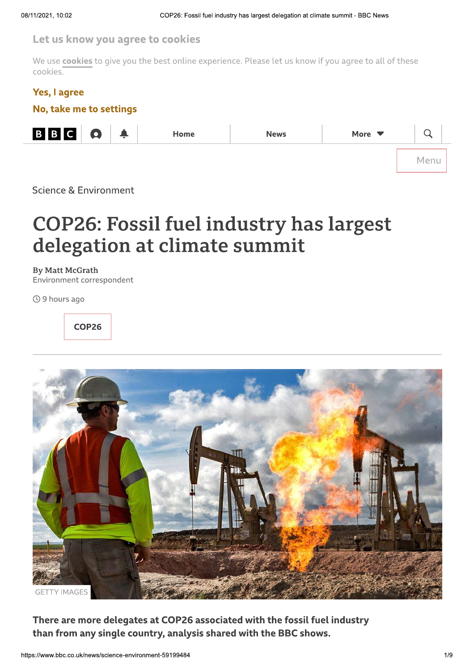#### Let us know you agree to cookies

We use cookies to give you the best online experience. Please let us know if you agree to all of these cookies.

#### Yes, I agree

No, take me to settings



Science & Environment

# COP26: Fossil fuel industry has largest delegation at climate summit

By Matt McGrath Environment correspondent

 $\odot$  9 hours ago





e delegates at COP26 associated with the fossil fuel industry<br>single country, analysis shared with the BBC shows.<br>Socience-environment-59199484<br>Ascience-environment-59199484 There are more delegates at COP26 associated with the fossil fuel industry than from any single country, analysis shared with the BBC shows.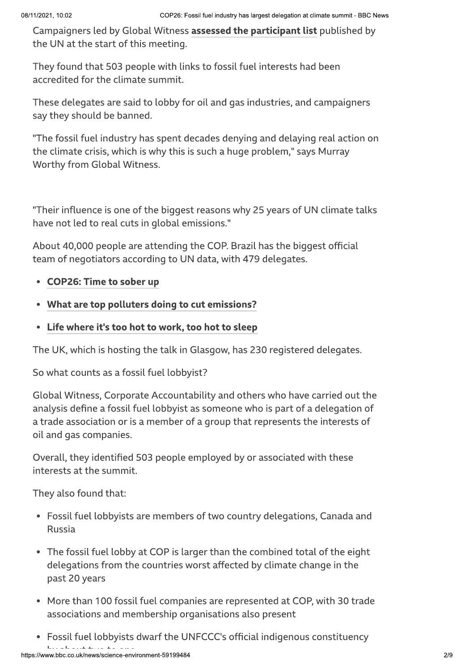Campaigners led by Global Witness assessed the participant list published by the UN at the start of this meeting.

They found that 503 people with links to fossil fuel interests had been accredited for the climate summit.

These delegates are said to lobby for oil and gas industries, and campaigners say they should be banned.

"The fossil fuel industry has spent decades denying and delaying real action on the climate crisis, which is why this is such a huge problem," says Murray Worthy from Global Witness.

"Their influence is one of the biggest reasons why 25 years of UN climate talks have not led to real cuts in global emissions."

About 40,000 people are attending the COP. Brazil has the biggest official team of negotiators according to UN data, with 479 delegates.

- COP26: Time to sober up
- $\bullet$ What are top polluters doing to cut emissions?
- Life where it's too hot to work, too hot to sleep

The UK, which is hosting the talk in Glasgow, has 230 registered delegates.

So what counts as a fossil fuel lobbyist?

Global Witness, Corporate Accountability and others who have carried out the analysis define a fossil fuel lobbyist as someone who is part of a delegation of a trade association or is a member of a group that represents the interests of oil and gas companies.

Overall, they identified 503 people employed by or associated with these interests at the summit.

They also found that:

- Fossil fuel lobbyists are members of two country delegations, Canada and **Russia**
- The fossil fuel lobby at COP is larger than the combined total of the eight delegations from the countries worst affected by climate change in the past 20 years
- More than 100 fossil fuel companies are represented at COP, with 30 trade associations and membership organisations also present
- Fossil fuel lobbyists dwarf the UNFCCC's official indigenous constituency والمرابط المتعارض والمتعاط المرابط المرابط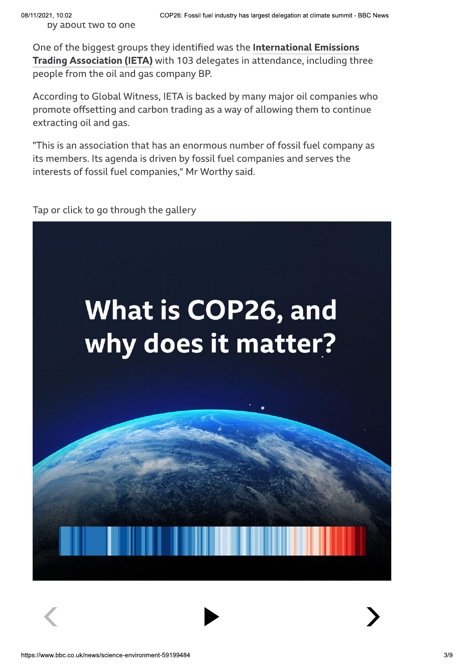08/11/2021. 10:02 by about two to one

One of the biggest groups they identified was the International Emissions Trading Association (IETA) with 103 delegates in attendance, including three people from the oil and gas company BP.

According to Global Witness, IETA is backed by many major oil companies who promote offsetting and carbon trading as a way of allowing them to continue extracting oil and gas.

"This is an association that has an enormous number of fossil fuel company as its members. Its agenda is driven by fossil fuel companies and serves the interests of fossil fuel companies," Mr Worthy said.

Tap or click to go through the gallery



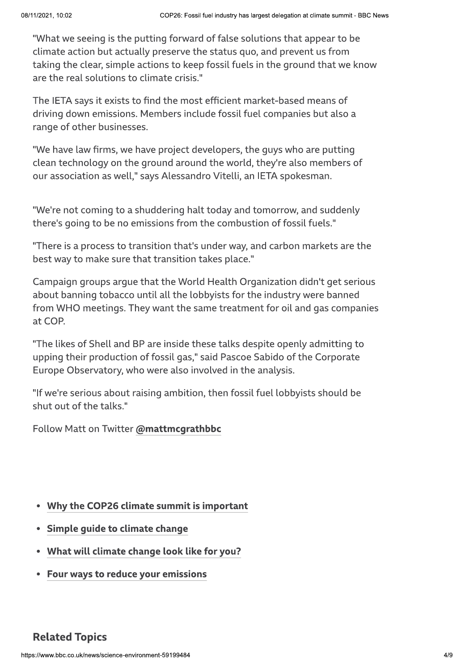"What we seeing is the putting forward of false solutions that appear to be climate action but actually preserve the status quo, and prevent us from taking the clear, simple actions to keep fossil fuels in the ground that we know are the real solutions to climate crisis."

The IETA says it exists to find the most efficient market-based means of driving down emissions. Members include fossil fuel companies but also a range of other businesses.

"We have law firms, we have project developers, the guys who are putting clean technology on the ground around the world, they're also members of our association as well," says Alessandro Vitelli, an IETA spokesman.

"We're not coming to a shuddering halt today and tomorrow, and suddenly there's going to be no emissions from the combustion of fossil fuels."

"There is a process to transition that's under way, and carbon markets are the best way to make sure that transition takes place."

Campaign groups argue that the World Health Organization didn't get serious about banning tobacco until all the lobbyists for the industry were banned from WHO meetings. They want the same treatment for oil and gas companies at COP.

"The likes of Shell and BP are inside these talks despite openly admitting to upping their production of fossil gas," said Pascoe Sabido of the Corporate Europe Observatory, who were also involved in the analysis.

"If we're serious about raising ambition, then fossil fuel lobbyists should be shut out of the talks."

Follow Matt on Twitter @mattmcgrathbbc

- Why the COP26 climate summit is important
- Simple quide to climate change
- What will climate change look like for you?  $\bullet$
- Four ways to reduce your emissions  $\bullet$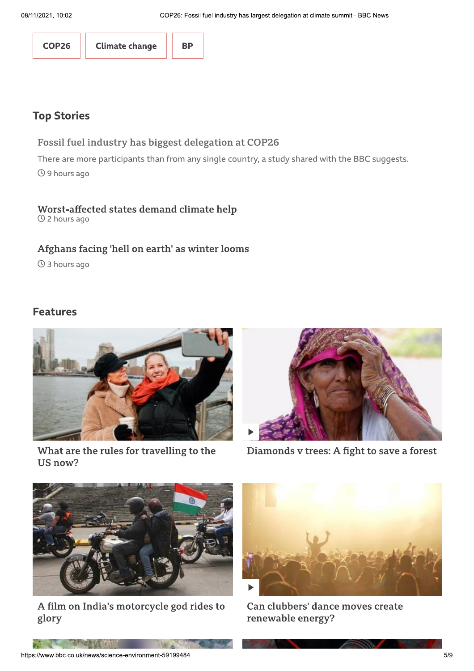

## **Top Stories**

#### Fossil fuel industry has biggest delegation at COP26

There are more participants than from any single country, a study shared with the BBC suggests. **O** 9 hours ago

## Worst-affected states demand climate help

**① 2 hours ago** 

#### Afghans facing 'hell on earth' as winter looms

**① 3 hours ago** 

#### **Features**



What are the rules for travelling to the US now?



Diamonds v trees: A fight to save a forest



A film on India's motorcycle god rides to glory



Can clubbers' dance moves create renewable energy?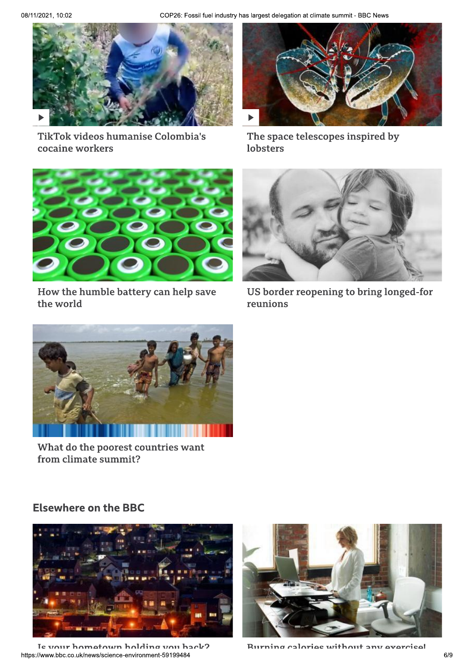

TikTok videos humanise Colombia's TikTok videos humanise Colombia's The space telescopes inspired by<br>cocaine workers finition of the space of the space telescopes inspired by<br>lobsters





How the humble battery can help save



How the humble battery can help save US border reopening to bring longed-for<br>the world reunions



What do the poorest countries want from climate summit?

### Elsewhere on the BBC



https://www.bbc.co.uk/news/so



Is vour hometown holding vou back?<br>Rurning calories without any everyised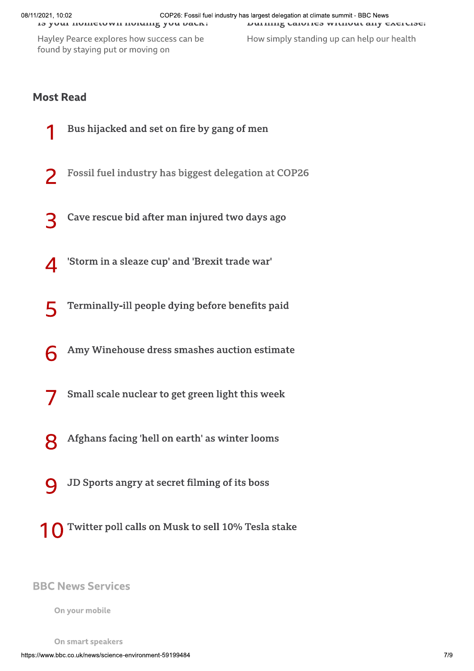Hayley Pearce explores how success can be found by staying put or moving on

How simply standing up can help our health

#### **Most Read**

- Bus hijacked and set on fire by gang of men
- Fossil fuel industry has biggest delegation at COP26
- Cave rescue bid after man injured two days ago
- 'Storm in a sleaze cup' and 'Brexit trade war' Δ
- Terminally-ill people dying before benefits paid Γ
- Amy Winehouse dress smashes auction estimate 6
- Small scale nuclear to get green light this week
- Afghans facing 'hell on earth' as winter looms Я
- JD Sports angry at secret filming of its boss
- Twitter poll calls on Musk to sell 10% Tesla stake

#### **BBC News Services**

On your mobile

On smart speakers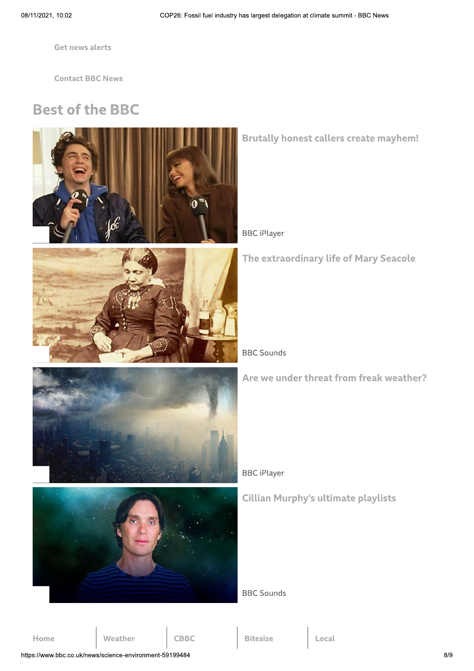**Get news alerts** 

**Contact BBC News** 

# **Best of the BBC**



**CBBC** 

**Bitesize** 

Local

**Brutally honest callers create mayhem!** 

The extraordinary life of Mary Seacole

Home

Weather

 $8/9$